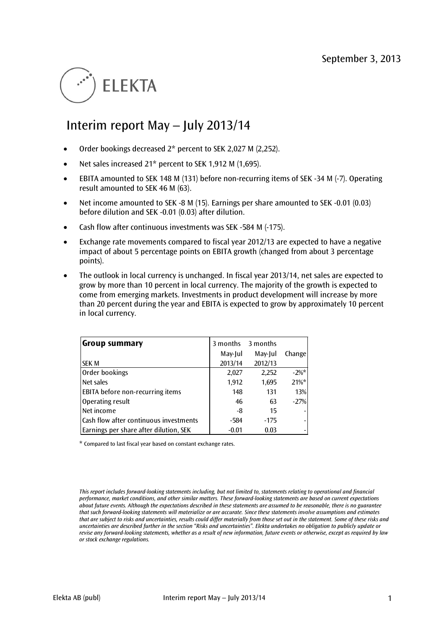# **FI FKTA**

# Interim report May – July 2013/14

- Order bookings decreased 2\* percent to SEK 2,027 M (2,252).
- Net sales increased 21\* percent to SEK 1,912 M (1,695).
- EBITA amounted to SEK 148 M (131) before non-recurring items of SEK -34 M (-7). Operating result amounted to SEK 46 M (63).
- Net income amounted to SEK -8 M (15). Earnings per share amounted to SEK -0.01 (0.03) before dilution and SEK -0.01 (0.03) after dilution.
- Cash flow after continuous investments was SEK -584 M (-175).
- Exchange rate movements compared to fiscal year 2012/13 are expected to have a negative impact of about 5 percentage points on EBITA growth (changed from about 3 percentage points).
- The outlook in local currency is unchanged. In fiscal year 2013/14, net sales are expected to grow by more than 10 percent in local currency. The majority of the growth is expected to come from emerging markets. Investments in product development will increase by more than 20 percent during the year and EBITA is expected to grow by approximately 10 percent in local currency.

| Group summary                           | 3 months | 3 months |         |
|-----------------------------------------|----------|----------|---------|
|                                         | May-Jul  | May-Jul  | Change  |
| <b>SEK M</b>                            | 2013/14  | 2012/13  |         |
| Order bookings                          | 2,027    | 2,252    | $-2\%*$ |
| Net sales                               | 1,912    | 1,695    | $21\%*$ |
| <b>EBITA before non-recurring items</b> | 148      | 131      | 13%     |
| Operating result                        | 46       | 63       | $-27%$  |
| Net income                              | -8       | 15       |         |
| Cash flow after continuous investments  | $-584$   | $-175$   |         |
| Earnings per share after dilution, SEK  | $-0.01$  | 0.03     |         |

\* Compared to last fiscal year based on constant exchange rates.

*This report includes forward-looking statements including, but not limited to, statements relating to operational and financial performance, market conditions, and other similar matters. These forward-looking statements are based on current expectations about future events. Although the expectations described in these statements are assumed to be reasonable, there is no guarantee that such forward-looking statements will materialize or are accurate. Since these statements involve assumptions and estimates that are subject to risks and uncertainties, results could differ materially from those set out in the statement. Some of these risks and uncertainties are described further in the section "Risks and uncertainties". Elekta undertakes no obligation to publicly update or revise any forward-looking statements, whether as a result of new information, future events or otherwise, except as required by law or stock exchange regulations.*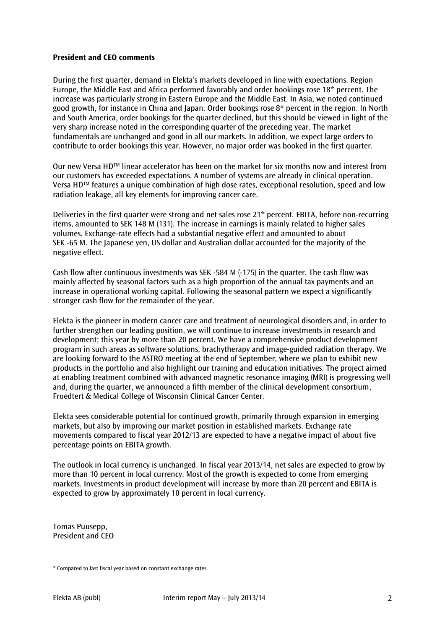#### **President and CEO comments**

During the first quarter, demand in Elekta's markets developed in line with expectations. Region Europe, the Middle East and Africa performed favorably and order bookings rose 18\* percent. The increase was particularly strong in Eastern Europe and the Middle East. In Asia, we noted continued good growth, for instance in China and Japan. Order bookings rose 8\* percent in the region. In North and South America, order bookings for the quarter declined, but this should be viewed in light of the very sharp increase noted in the corresponding quarter of the preceding year. The market fundamentals are unchanged and good in all our markets. In addition, we expect large orders to contribute to order bookings this year. However, no major order was booked in the first quarter.

Our new Versa HDTM linear accelerator has been on the market for six months now and interest from our customers has exceeded expectations. A number of systems are already in clinical operation. Versa HDTM features a unique combination of high dose rates, exceptional resolution, speed and low radiation leakage, all key elements for improving cancer care.

Deliveries in the first quarter were strong and net sales rose 21\* percent. EBITA, before non-recurring items, amounted to SEK 148 M (131). The increase in earnings is mainly related to higher sales volumes. Exchange-rate effects had a substantial negative effect and amounted to about SEK -65 M. The Japanese yen, US dollar and Australian dollar accounted for the majority of the negative effect.

Cash flow after continuous investments was SEK -584 M (-175) in the quarter. The cash flow was mainly affected by seasonal factors such as a high proportion of the annual tax payments and an increase in operational working capital. Following the seasonal pattern we expect a significantly stronger cash flow for the remainder of the year.

Elekta is the pioneer in modern cancer care and treatment of neurological disorders and, in order to further strengthen our leading position, we will continue to increase investments in research and development; this year by more than 20 percent. We have a comprehensive product development program in such areas as software solutions, brachytherapy and image-guided radiation therapy. We are looking forward to the ASTRO meeting at the end of September, where we plan to exhibit new products in the portfolio and also highlight our training and education initiatives. The project aimed at enabling treatment combined with advanced magnetic resonance imaging (MRI) is progressing well and, during the quarter, we announced a fifth member of the clinical development consortium, Froedtert & Medical College of Wisconsin Clinical Cancer Center.

Elekta sees considerable potential for continued growth, primarily through expansion in emerging markets, but also by improving our market position in established markets. Exchange rate movements compared to fiscal year 2012/13 are expected to have a negative impact of about five percentage points on EBITA growth.

The outlook in local currency is unchanged. In fiscal year 2013/14, net sales are expected to grow by more than 10 percent in local currency. Most of the growth is expected to come from emerging markets. Investments in product development will increase by more than 20 percent and EBITA is expected to grow by approximately 10 percent in local currency.

Tomas Puusepp, President and CEO

<sup>\*</sup> Compared to last fiscal year based on constant exchange rates.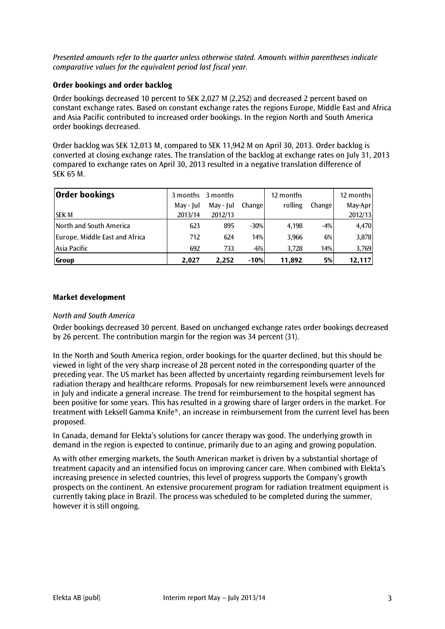*Presented amounts refer to the quarter unless otherwise stated. Amounts within parentheses indicate comparative values for the equivalent period last fiscal year.* 

# **Order bookings and order backlog**

Order bookings decreased 10 percent to SEK 2,027 M (2,252) and decreased 2 percent based on constant exchange rates. Based on constant exchange rates the regions Europe, Middle East and Africa and Asia Pacific contributed to increased order bookings. In the region North and South America order bookings decreased.

Order backlog was SEK 12,013 M, compared to SEK 11,942 M on April 30, 2013. Order backlog is converted at closing exchange rates. The translation of the backlog at exchange rates on July 31, 2013 compared to exchange rates on April 30, 2013 resulted in a negative translation difference of SEK 65 M.

| <b>Order bookings</b>          |           | 3 months 3 months |        | 12 months |        | 12 months |
|--------------------------------|-----------|-------------------|--------|-----------|--------|-----------|
|                                | May - Jul | May - Jul         | Change | rolling   | Change | May-Apr   |
| <b>SEK M</b>                   | 2013/14   | 2012/13           |        |           |        | 2012/13   |
| North and South America        | 623       | 895               | $-30%$ | 4,198     | $-4%$  | 4,470     |
| Europe, Middle East and Africa | 712       | 624               | 14%    | 3,966     | 6%     | 3,878     |
| Asia Pacific                   | 692       | 733               | $-6%$  | 3.728     | 14%    | 3,769     |
| Group                          | 2.027     | 2.252             | $-10%$ | 11,892    | 5%     | 12,117    |

# **Market development**

# *North and South America*

Order bookings decreased 30 percent. Based on unchanged exchange rates order bookings decreased by 26 percent. The contribution margin for the region was 34 percent (31).

In the North and South America region, order bookings for the quarter declined, but this should be viewed in light of the very sharp increase of 28 percent noted in the corresponding quarter of the preceding year. The US market has been affected by uncertainty regarding reimbursement levels for radiation therapy and healthcare reforms. Proposals for new reimbursement levels were announced in July and indicate a general increase. The trend for reimbursement to the hospital segment has been positive for some years. This has resulted in a growing share of larger orders in the market. For treatment with Leksell Gamma Knife®, an increase in reimbursement from the current level has been proposed.

In Canada, demand for Elekta's solutions for cancer therapy was good. The underlying growth in demand in the region is expected to continue, primarily due to an aging and growing population.

As with other emerging markets, the South American market is driven by a substantial shortage of treatment capacity and an intensified focus on improving cancer care. When combined with Elekta's increasing presence in selected countries, this level of progress supports the Company's growth prospects on the continent. An extensive procurement program for radiation treatment equipment is currently taking place in Brazil. The process was scheduled to be completed during the summer, however it is still ongoing.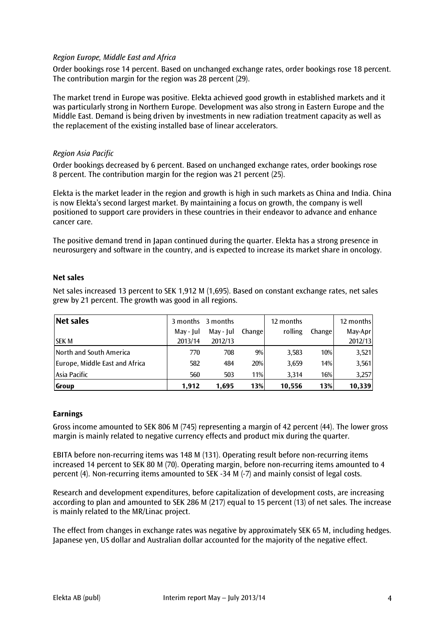# *Region Europe, Middle East and Africa*

Order bookings rose 14 percent. Based on unchanged exchange rates, order bookings rose 18 percent. The contribution margin for the region was 28 percent (29).

The market trend in Europe was positive. Elekta achieved good growth in established markets and it was particularly strong in Northern Europe. Development was also strong in Eastern Europe and the Middle East. Demand is being driven by investments in new radiation treatment capacity as well as the replacement of the existing installed base of linear accelerators.

# *Region Asia Pacific*

Order bookings decreased by 6 percent. Based on unchanged exchange rates, order bookings rose 8 percent. The contribution margin for the region was 21 percent (25).

Elekta is the market leader in the region and growth is high in such markets as China and India. China is now Elekta's second largest market. By maintaining a focus on growth, the company is well positioned to support care providers in these countries in their endeavor to advance and enhance cancer care.

The positive demand trend in Japan continued during the quarter. Elekta has a strong presence in neurosurgery and software in the country, and is expected to increase its market share in oncology.

# **Net sales**

Net sales increased 13 percent to SEK 1,912 M (1,695). Based on constant exchange rates, net sales grew by 21 percent. The growth was good in all regions.

| Net sales                      |           | 3 months 3 months |         | 12 months |        | 12 months |
|--------------------------------|-----------|-------------------|---------|-----------|--------|-----------|
|                                | May - Iul | May - Jul         | Changel | rolling   | Change | May-Apr   |
| <b>SEK M</b>                   | 2013/14   | 2012/13           |         |           |        | 2012/13   |
| North and South America        | 770       | 708               | 9%      | 3,583     | 10%    | 3,521     |
| Europe, Middle East and Africa | 582       | 484               | 20%     | 3,659     | 14%    | 3,561     |
| Asia Pacific                   | 560       | 503               | 11%     | 3.314     | 16%    | 3,257     |
| <b>Group</b>                   | 1.912     | 1,695             | 13%     | 10,556    | 13%    | 10,339    |

# **Earnings**

Gross income amounted to SEK 806 M (745) representing a margin of 42 percent (44). The lower gross margin is mainly related to negative currency effects and product mix during the quarter.

EBITA before non-recurring items was 148 M (131). Operating result before non-recurring items increased 14 percent to SEK 80 M (70). Operating margin, before non-recurring items amounted to 4 percent (4). Non-recurring items amounted to SEK -34 M (-7) and mainly consist of legal costs.

Research and development expenditures, before capitalization of development costs, are increasing according to plan and amounted to SEK 286 M (217) equal to 15 percent (13) of net sales. The increase is mainly related to the MR/Linac project.

The effect from changes in exchange rates was negative by approximately SEK 65 M, including hedges. Japanese yen, US dollar and Australian dollar accounted for the majority of the negative effect.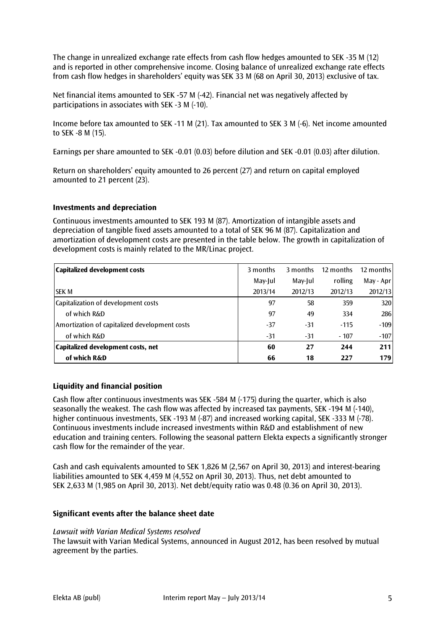The change in unrealized exchange rate effects from cash flow hedges amounted to SEK -35 M (12) and is reported in other comprehensive income. Closing balance of unrealized exchange rate effects from cash flow hedges in shareholders' equity was SEK 33 M (68 on April 30, 2013) exclusive of tax.

Net financial items amounted to SEK -57 M (-42). Financial net was negatively affected by participations in associates with SEK -3 M (-10).

Income before tax amounted to SEK -11 M (21). Tax amounted to SEK 3 M (-6). Net income amounted to SEK -8 M (15).

Earnings per share amounted to SEK -0.01 (0.03) before dilution and SEK -0.01 (0.03) after dilution.

Return on shareholders' equity amounted to 26 percent (27) and return on capital employed amounted to 21 percent (23).

# **Investments and depreciation**

Continuous investments amounted to SEK 193 M (87). Amortization of intangible assets and depreciation of tangible fixed assets amounted to a total of SEK 96 M (87). Capitalization and amortization of development costs are presented in the table below. The growth in capitalization of development costs is mainly related to the MR/Linac project.

| Capitalized development costs                 | 3 months | 3 months | 12 months | 12 months |
|-----------------------------------------------|----------|----------|-----------|-----------|
|                                               | May-Jul  | May-Jul  | rolling   | May - Apr |
| <b>SEK M</b>                                  | 2013/14  | 2012/13  | 2012/13   | 2012/13   |
| Capitalization of development costs           | 97       | 58       | 359       | 320       |
| of which R&D                                  | 97       | 49       | 334       | 286       |
| Amortization of capitalized development costs | $-37$    | -31      | $-115$    | $-109$    |
| of which R&D                                  | $-31$    | -31      | $-107$    | $-107$    |
| Capitalized development costs, net            | 60       | 27       | 244       | 211       |
| of which R&D                                  | 66       | 18       | 227       | 179       |

# **Liquidity and financial position**

Cash flow after continuous investments was SEK -584 M (-175) during the quarter, which is also seasonally the weakest. The cash flow was affected by increased tax payments, SEK -194 M (-140), higher continuous investments, SEK -193 M (-87) and increased working capital, SEK -333 M (-78). Continuous investments include increased investments within R&D and establishment of new education and training centers. Following the seasonal pattern Elekta expects a significantly stronger cash flow for the remainder of the year.

Cash and cash equivalents amounted to SEK 1,826 M (2,567 on April 30, 2013) and interest-bearing liabilities amounted to SEK 4,459 M (4,552 on April 30, 2013). Thus, net debt amounted to SEK 2,633 M (1,985 on April 30, 2013). Net debt/equity ratio was 0.48 (0.36 on April 30, 2013).

#### **Significant events after the balance sheet date**

#### *Lawsuit with Varian Medical Systems resolved*

The lawsuit with Varian Medical Systems, announced in August 2012, has been resolved by mutual agreement by the parties.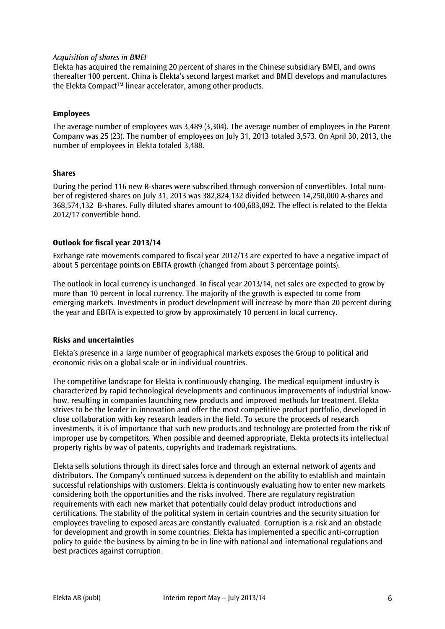#### *Acquisition of shares in BMEI*

Elekta has acquired the remaining 20 percent of shares in the Chinese subsidiary BMEI, and owns thereafter 100 percent. China is Elekta's second largest market and BMEI develops and manufactures the Elekta Compact<sup>™</sup> linear accelerator, among other products.

#### **Employees**

The average number of employees was 3,489 (3,304). The average number of employees in the Parent Company was 25 (23). The number of employees on July 31, 2013 totaled 3,573. On April 30, 2013, the number of employees in Elekta totaled 3,488.

#### **Shares**

During the period 116 new B-shares were subscribed through conversion of convertibles. Total number of registered shares on July 31, 2013 was 382,824,132 divided between 14,250,000 A-shares and 368,574,132 B-shares. Fully diluted shares amount to 400,683,092. The effect is related to the Elekta 2012/17 convertible bond.

#### **Outlook for fiscal year 2013/14**

Exchange rate movements compared to fiscal year 2012/13 are expected to have a negative impact of about 5 percentage points on EBITA growth (changed from about 3 percentage points).

The outlook in local currency is unchanged. In fiscal year 2013/14, net sales are expected to grow by more than 10 percent in local currency. The majority of the growth is expected to come from emerging markets. Investments in product development will increase by more than 20 percent during the year and EBITA is expected to grow by approximately 10 percent in local currency.

#### **Risks and uncertainties**

Elekta's presence in a large number of geographical markets exposes the Group to political and economic risks on a global scale or in individual countries.

The competitive landscape for Elekta is continuously changing. The medical equipment industry is characterized by rapid technological developments and continuous improvements of industrial knowhow, resulting in companies launching new products and improved methods for treatment. Elekta strives to be the leader in innovation and offer the most competitive product portfolio, developed in close collaboration with key research leaders in the field. To secure the proceeds of research investments, it is of importance that such new products and technology are protected from the risk of improper use by competitors. When possible and deemed appropriate, Elekta protects its intellectual property rights by way of patents, copyrights and trademark registrations.

Elekta sells solutions through its direct sales force and through an external network of agents and distributors. The Company's continued success is dependent on the ability to establish and maintain successful relationships with customers. Elekta is continuously evaluating how to enter new markets considering both the opportunities and the risks involved. There are regulatory registration requirements with each new market that potentially could delay product introductions and certifications. The stability of the political system in certain countries and the security situation for employees traveling to exposed areas are constantly evaluated. Corruption is a risk and an obstacle for development and growth in some countries. Elekta has implemented a specific anti-corruption policy to guide the business by aiming to be in line with national and international regulations and best practices against corruption.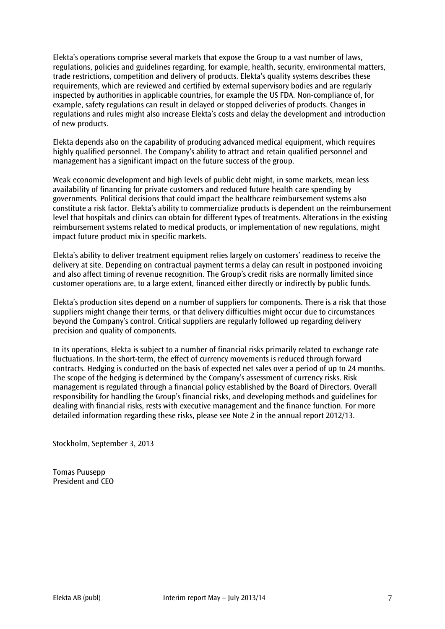Elekta's operations comprise several markets that expose the Group to a vast number of laws, regulations, policies and guidelines regarding, for example, health, security, environmental matters, trade restrictions, competition and delivery of products. Elekta's quality systems describes these requirements, which are reviewed and certified by external supervisory bodies and are regularly inspected by authorities in applicable countries, for example the US FDA. Non-compliance of, for example, safety regulations can result in delayed or stopped deliveries of products. Changes in regulations and rules might also increase Elekta's costs and delay the development and introduction of new products.

Elekta depends also on the capability of producing advanced medical equipment, which requires highly qualified personnel. The Company's ability to attract and retain qualified personnel and management has a significant impact on the future success of the group.

Weak economic development and high levels of public debt might, in some markets, mean less availability of financing for private customers and reduced future health care spending by governments. Political decisions that could impact the healthcare reimbursement systems also constitute a risk factor. Elekta's ability to commercialize products is dependent on the reimbursement level that hospitals and clinics can obtain for different types of treatments. Alterations in the existing reimbursement systems related to medical products, or implementation of new regulations, might impact future product mix in specific markets.

Elekta's ability to deliver treatment equipment relies largely on customers' readiness to receive the delivery at site. Depending on contractual payment terms a delay can result in postponed invoicing and also affect timing of revenue recognition. The Group's credit risks are normally limited since customer operations are, to a large extent, financed either directly or indirectly by public funds.

Elekta's production sites depend on a number of suppliers for components. There is a risk that those suppliers might change their terms, or that delivery difficulties might occur due to circumstances beyond the Company's control. Critical suppliers are regularly followed up regarding delivery precision and quality of components.

In its operations, Elekta is subject to a number of financial risks primarily related to exchange rate fluctuations. In the short-term, the effect of currency movements is reduced through forward contracts. Hedging is conducted on the basis of expected net sales over a period of up to 24 months. The scope of the hedging is determined by the Company's assessment of currency risks. Risk management is regulated through a financial policy established by the Board of Directors. Overall responsibility for handling the Group's financial risks, and developing methods and guidelines for dealing with financial risks, rests with executive management and the finance function. For more detailed information regarding these risks, please see Note 2 in the annual report 2012/13.

Stockholm, September 3, 2013

Tomas Puusepp President and CEO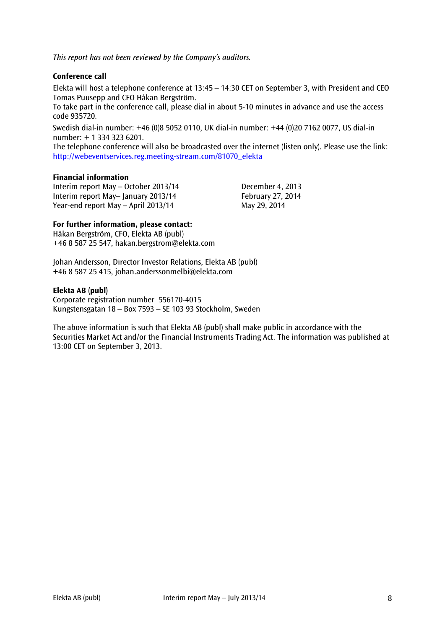*This report has not been reviewed by the Company's auditors.*

# **Conference call**

Elekta will host a telephone conference at 13:45 – 14:30 CET on September 3, with President and CEO Tomas Puusepp and CFO Håkan Bergström.

To take part in the conference call, please dial in about 5-10 minutes in advance and use the access code 935720.

Swedish dial-in number: +46 (0)8 5052 0110, UK dial-in number: +44 (0)20 7162 0077, US dial-in number: + 1 334 323 6201.

The telephone conference will also be broadcasted over the internet (listen only). Please use the link: [http://webeventservices.reg.meeting-stream.com/81070\\_elekta](http://webeventservices.reg.meeting-stream.com/81070_elekta)

# **Financial information**

Interim report May – October 2013/14 December 4, 2013 Interim report May– January 2013/14 February 27, 2014 Year-end report May – April 2013/14 May 29, 2014

# **For further information, please contact:**

Håkan Bergström, CFO, Elekta AB (publ) +46 8 587 25 547, hakan.bergstrom@elekta.com

Johan Andersson, Director Investor Relations, Elekta AB (publ) +46 8 587 25 415, [johan.anderssonmelbi@elekta.com](mailto:johan.anderssonmelbi@elekta.com)

#### **Elekta AB (publ)**

Corporate registration number 556170-4015 Kungstensgatan 18 – Box 7593 – SE 103 93 Stockholm, Sweden

The above information is such that Elekta AB (publ) shall make public in accordance with the Securities Market Act and/or the Financial Instruments Trading Act. The information was published at 13:00 CET on September 3, 2013.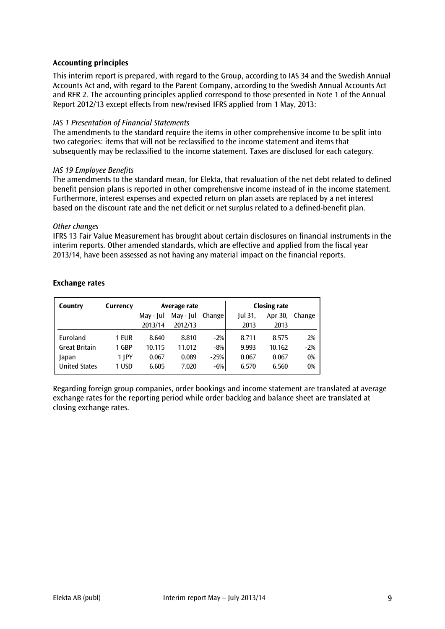# **Accounting principles**

This interim report is prepared, with regard to the Group, according to IAS 34 and the Swedish Annual Accounts Act and, with regard to the Parent Company, according to the Swedish Annual Accounts Act and RFR 2. The accounting principles applied correspond to those presented in Note 1 of the Annual Report 2012/13 except effects from new/revised IFRS applied from 1 May, 2013:

#### *IAS 1 Presentation of Financial Statements*

The amendments to the standard require the items in other comprehensive income to be split into two categories: items that will not be reclassified to the income statement and items that subsequently may be reclassified to the income statement. Taxes are disclosed for each category.

#### *IAS 19 Employee Benefits*

The amendments to the standard mean, for Elekta, that revaluation of the net debt related to defined benefit pension plans is reported in other comprehensive income instead of in the income statement. Furthermore, interest expenses and expected return on plan assets are replaced by a net interest based on the discount rate and the net deficit or net surplus related to a defined-benefit plan.

#### *Other changes*

IFRS 13 Fair Value Measurement has brought about certain disclosures on financial instruments in the interim reports. Other amended standards, which are effective and applied from the fiscal year 2013/14, have been assessed as not having any material impact on the financial reports.

| Country              | Currency |           | Average rate |        |         | <b>Closing rate</b> |        |
|----------------------|----------|-----------|--------------|--------|---------|---------------------|--------|
|                      |          | May - Jul | May - Jul    | Change | Jul 31, | Apr 30,             | Change |
|                      |          | 2013/14   | 2012/13      |        | 2013    | 2013                |        |
| Euroland             | 1 EUR    | 8.640     | 8.810        | $-2%$  | 8.711   | 8.575               | 2%     |
| <b>Great Britain</b> | 1 GBP    | 10.115    | 11.012       | $-8%$  | 9.993   | 10.162              | $-2%$  |
| Japan                | 1 JPY    | 0.067     | 0.089        | $-25%$ | 0.067   | 0.067               | 0%     |
| <b>United States</b> | 1 USD    | 6.605     | 7.020        | $-6%$  | 6.570   | 6.560               | $0\%$  |

#### **Exchange rates**

Regarding foreign group companies, order bookings and income statement are translated at average exchange rates for the reporting period while order backlog and balance sheet are translated at closing exchange rates.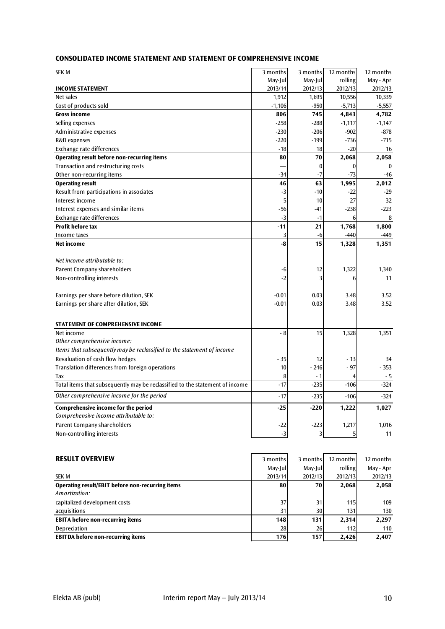# **CONSOLIDATED INCOME STATEMENT AND STATEMENT OF COMPREHENSIVE INCOME**

| SEK M                                                                        | 3 months | 3 months | 12 months        | 12 months        |
|------------------------------------------------------------------------------|----------|----------|------------------|------------------|
|                                                                              | May-Jul  | May-Jul  | rolling          | May - Apr        |
| <b>INCOME STATEMENT</b>                                                      | 2013/14  | 2012/13  | 2012/13          | 2012/13          |
| Net sales                                                                    | 1,912    | 1,695    | 10,556           | 10,339           |
| Cost of products sold                                                        | $-1,106$ | $-950$   | $-5,713$         | $-5,557$         |
| <b>Gross income</b>                                                          | 806      | 745      | 4,843            | 4,782            |
| Selling expenses                                                             | $-258$   | $-288$   | $-1,117$         | $-1,147$         |
| Administrative expenses                                                      | $-230$   | $-206$   | $-902$           | $-878$           |
| R&D expenses                                                                 | $-220$   | $-199$   | $-736$           | $-715$           |
| Exchange rate differences                                                    | $-18$    | 18       | $-20$            | 16               |
| Operating result before non-recurring items                                  | 80       | 70       | 2,068            | 2,058            |
| Transaction and restructuring costs                                          |          | 0        | $\boldsymbol{0}$ | $\boldsymbol{0}$ |
| Other non-recurring items                                                    | $-34$    | $-7$     | $-73$            | $-46$            |
| <b>Operating result</b>                                                      | 46       | 63       | 1,995            | 2,012            |
| Result from participations in associates                                     | $-3$     | $-10$    | $-22$            | $-29$            |
| Interest income                                                              | 5        | 10       | 27               | 32               |
| Interest expenses and similar items                                          | -56      | $-41$    | $-238$           | $-223$           |
| Exchange rate differences                                                    | $-3$     | $-1$     | 6                | 8                |
| <b>Profit before tax</b>                                                     | $-11$    | 21       | 1,768            | 1,800            |
| Income taxes                                                                 | 3        | $-6$     | $-440$           | $-449$           |
| Net income                                                                   | -8       | 15       | 1,328            | 1,351            |
|                                                                              |          |          |                  |                  |
| Net income attributable to:                                                  |          |          |                  |                  |
| Parent Company shareholders                                                  | -6       | 12       | 1,322            | 1,340            |
| Non-controlling interests                                                    | -2       | 3        | 6                | 11               |
|                                                                              |          |          |                  |                  |
| Earnings per share before dilution, SEK                                      | $-0.01$  | 0.03     | 3.48             | 3.52             |
| Earnings per share after dilution, SEK                                       | $-0.01$  | 0.03     | 3.48             | 3.52             |
|                                                                              |          |          |                  |                  |
| STATEMENT OF COMPREHENSIVE INCOME                                            |          |          |                  |                  |
| Net income                                                                   | - 8      | 15       | 1,328            | 1,351            |
| Other comprehensive income:                                                  |          |          |                  |                  |
| Items that subsequently may be reclassified to the statement of income       |          |          |                  |                  |
| Revaluation of cash flow hedges                                              | $-35$    | 12       | - 13             | 34               |
| Translation differences from foreign operations                              | 10       | $-246$   | $-97$            | $-353$           |
| Tax                                                                          | 8        | - 1      | $\overline{4}$   | $-5$             |
| Total items that subsequently may be reclassified to the statement of income | $-17$    | $-235$   | $-106$           | $-324$           |
| Other comprehensive income for the period                                    | $-17$    | $-235$   | $-106$           | $-324$           |
| <b>Comprehensive income for the period</b>                                   | $-25$    | $-220$   | 1,222            | 1,027            |
| Comprehensive income attributable to:                                        |          |          |                  |                  |
| Parent Company shareholders                                                  | -22      | $-223$   | 1,217            | 1,016            |
| Non-controlling interests                                                    | $-3$     | 3        | 5                | 11               |
|                                                                              |          |          |                  |                  |

| <b>RESULT OVERVIEW</b>                           | 3 months | 3 months | 12 months | 12 months |
|--------------------------------------------------|----------|----------|-----------|-----------|
|                                                  | May-Jull | May-Jull | rolling   | May - Apr |
| <b>SEK M</b>                                     | 2013/14  | 2012/13  | 2012/13   | 2012/13   |
| Operating result/EBIT before non-recurring items | 80       | 70       | 2,068     | 2,058     |
| Amortization:                                    |          |          |           |           |
| capitalized development costs                    | 37       | 31       | 115       | 109       |
| acquisitions                                     | 31       | 30       | 131       | 130       |
| <b>EBITA before non-recurring items</b>          | 148      | 131      | 2,314     | 2,297     |
| Depreciation                                     | 28       | 26       | 112       | 110       |
| <b>EBITDA before non-recurring items</b>         | 176      | 157      | 2.426     | 2.407     |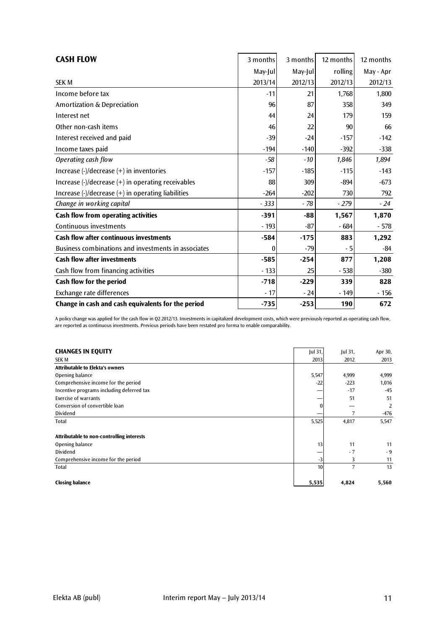| <b>CASH FLOW</b>                                                                                 | 3 months | 3 months | 12 months | 12 months |
|--------------------------------------------------------------------------------------------------|----------|----------|-----------|-----------|
|                                                                                                  | May-Jul  | May-Jul  | rolling   | May - Apr |
| <b>SEK M</b>                                                                                     | 2013/14  | 2012/13  | 2012/13   | 2012/13   |
| Income before tax                                                                                | $-11$    | 21       | 1,768     | 1,800     |
| Amortization & Depreciation                                                                      | 96       | 87       | 358       | 349       |
| Interest net                                                                                     | 44       | 24       | 179       | 159       |
| Other non-cash items                                                                             | 46       | 22       | 90        | 66        |
| Interest received and paid                                                                       | $-39$    | $-24$    | $-157$    | $-142$    |
| Income taxes paid                                                                                | $-194$   | $-140$   | $-392$    | $-338$    |
| Operating cash flow                                                                              | $-58$    | $-10$    | 1,846     | 1,894     |
| Increase $\left(\frac{1}{2}\right)$ decrease $\left(\frac{1}{2}\right)$ in inventories           | $-157$   | $-185$   | $-115$    | $-143$    |
| Increase $\left(\frac{1}{2}\right)$ decrease $\left(\frac{1}{2}\right)$ in operating receivables | 88       | 309      | $-894$    | $-673$    |
| Increase (-)/decrease (+) in operating liabilities                                               | $-264$   | $-202$   | 730       | 792       |
| Change in working capital                                                                        | $-333$   | $-78$    | $-279$    | $-24$     |
| Cash flow from operating activities                                                              | $-391$   | $-88$    | 1,567     | 1,870     |
| Continuous investments                                                                           | $-193$   | $-87$    | $-684$    | $-578$    |
| <b>Cash flow after continuous investments</b>                                                    | $-584$   | $-175$   | 883       | 1,292     |
| Business combinations and investments in associates                                              | $\bf{0}$ | $-79$    | - 5       | -84       |
| <b>Cash flow after investments</b>                                                               | $-585$   | $-254$   | 877       | 1,208     |
| Cash flow from financing activities                                                              | $-133$   | 25       | $-538$    | $-380$    |
| Cash flow for the period                                                                         | $-718$   | $-229$   | 339       | 828       |
| Exchange rate differences                                                                        | $-17$    | $-24$    | - 149     | - 156     |
| Change in cash and cash equivalents for the period                                               | $-735$   | $-253$   | 190       | 672       |

A policy change was applied for the cash flow in Q2 2012/13. Investments in capitalized development costs, which were previously reported as operating cash flow, are reported as continuous investments. Previous periods have been restated pro forma to enable comparability.

| <b>CHANGES IN EQUITY</b>                  | Jul 31, | Jul 31, | Apr 30, |
|-------------------------------------------|---------|---------|---------|
| <b>SEK M</b>                              | 2013    | 2012    | 2013    |
| <b>Attributable to Elekta's owners</b>    |         |         |         |
| Opening balance                           | 5,547   | 4,999   | 4,999   |
| Comprehensive income for the period       | $-22$   | $-223$  | 1,016   |
| Incentive programs including deferred tax |         | $-17$   | $-45$   |
| <b>Exercise of warrants</b>               | –       | 51      | 51      |
| Conversion of convertible loan            |         |         | 2       |
| Dividend                                  |         | 7       | $-476$  |
| Total                                     | 5,525   | 4,817   | 5,547   |
| Attributable to non-controlling interests |         |         |         |
| Opening balance                           | 13      | 11      | 11      |
| Dividend                                  |         | $-7$    | $-9$    |
| Comprehensive income for the period       | -3      | 3       | 11      |
| <b>Total</b>                              | 10      | 7       | 13      |
| <b>Closing balance</b>                    | 5,535   | 4,824   | 5,560   |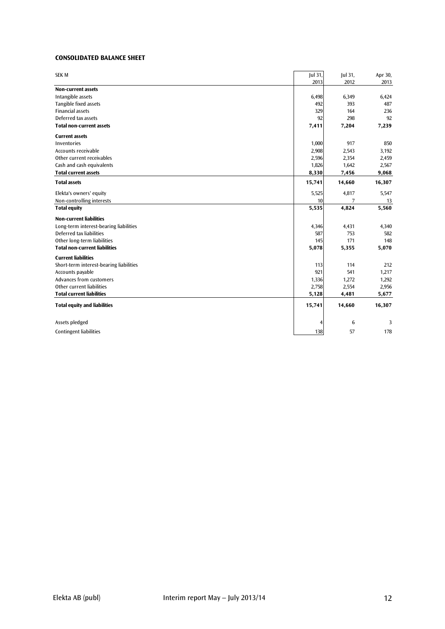#### **CONSOLIDATED BALANCE SHEET**

| <b>SEK M</b>                            | Jul 31, | Jul 31, | Apr 30, |
|-----------------------------------------|---------|---------|---------|
|                                         | 2013    | 2012    | 2013    |
| <b>Non-current assets</b>               |         |         |         |
| Intangible assets                       | 6,498   | 6,349   | 6,424   |
| Tangible fixed assets                   | 492     | 393     | 487     |
| <b>Financial assets</b>                 | 329     | 164     | 236     |
| Deferred tax assets                     | 92      | 298     | 92      |
| <b>Total non-current assets</b>         | 7,411   | 7,204   | 7,239   |
| <b>Current assets</b>                   |         |         |         |
| Inventories                             | 1,000   | 917     | 850     |
| <b>Accounts receivable</b>              | 2,908   | 2,543   | 3,192   |
| Other current receivables               | 2,596   | 2,354   | 2,459   |
| Cash and cash equivalents               | 1,826   | 1,642   | 2,567   |
| <b>Total current assets</b>             | 8,330   | 7,456   | 9,068   |
| <b>Total assets</b>                     | 15,741  | 14,660  | 16,307  |
| Elekta's owners' equity                 | 5,525   | 4,817   | 5,547   |
| Non-controlling interests               | 10      | 7       | 13      |
| <b>Total equity</b>                     | 5,535   | 4,824   | 5,560   |
| <b>Non-current liabilities</b>          |         |         |         |
| Long-term interest-bearing liabilities  | 4,346   | 4,431   | 4,340   |
| Deferred tax liabilities                | 587     | 753     | 582     |
| Other long-term liabilities             | 145     | 171     | 148     |
| <b>Total non-current liabilities</b>    | 5,078   | 5,355   | 5,070   |
| <b>Current liabilities</b>              |         |         |         |
| Short-term interest-bearing liabilities | 113     | 114     | 212     |
| Accounts payable                        | 921     | 541     | 1,217   |
| <b>Advances from customers</b>          | 1,336   | 1,272   | 1,292   |
| Other current liabilities               | 2,758   | 2,554   | 2,956   |
| <b>Total current liabilities</b>        | 5,128   | 4,481   | 5,677   |
| <b>Total equity and liabilities</b>     | 15,741  | 14,660  | 16,307  |
|                                         |         |         |         |
| Assets pledged                          |         | 6       | 3       |
| <b>Contingent liabilities</b>           | 138     | 57      | 178     |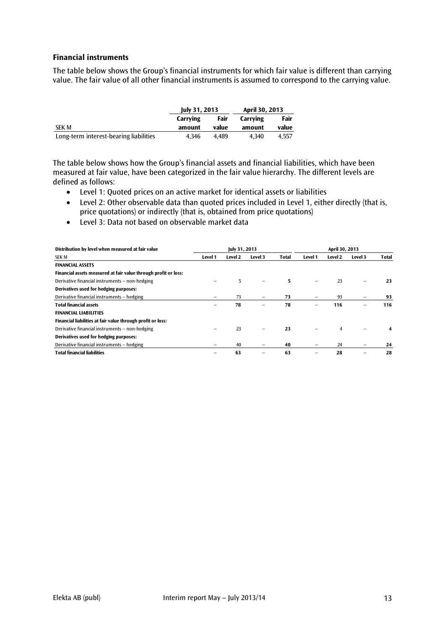# **Financial instruments**

The table below shows the Group's financial instruments for which fair value is different than carrying value. The fair value of all other financial instruments is assumed to correspond to the carrying value.

|                                        | July 31, 2013 |       | April 30, 2013 |       |  |
|----------------------------------------|---------------|-------|----------------|-------|--|
|                                        | Carrving      | Fair  | Carrving       | Fair  |  |
| SEK M                                  | amount        | value | amount         | value |  |
| Long-term interest-bearing liabilities | 4.346         | 4.489 | 4.340          | 4.557 |  |

The table below shows how the Group's financial assets and financial liabilities, which have been measured at fair value, have been categorized in the fair value hierarchy. The different levels are defined as follows:

- Level 1: Quoted prices on an active market for identical assets or liabilities
- Level 2: Other observable data than quoted prices included in Level 1, either directly (that is, price quotations) or indirectly (that is, obtained from price quotations)
- Level 3: Data not based on observable market data

| Distribution by level when measured at fair value               |         | July 31, 2013 |         |       | April 30, 2013 |         |         |              |  |  |
|-----------------------------------------------------------------|---------|---------------|---------|-------|----------------|---------|---------|--------------|--|--|
| SEK M                                                           | Level 1 | Level 2       | Level 3 | Total | Level 1        | Level 2 | Level 3 | <b>Total</b> |  |  |
| <b>FINANCIAL ASSETS</b>                                         |         |               |         |       |                |         |         |              |  |  |
| Financial assets measured at fair value through profit or loss: |         |               |         |       |                |         |         |              |  |  |
| Derivative financial instruments – non-hedging                  |         | 5             |         | 5.    |                | 23      | -       | 23           |  |  |
| Derivatives used for hedging purposes:                          |         |               |         |       |                |         |         |              |  |  |
| Derivative financial instruments - hedging                      |         | 73            |         | 73    |                | 93      |         | 93           |  |  |
| <b>Total financial assets</b>                                   |         | 78            | -       | 78    |                | 116     | -       | 116          |  |  |
| <b>FINANCIAL LIABILITIES</b>                                    |         |               |         |       |                |         |         |              |  |  |
| Financial liabilities at fair value through profit or loss:     |         |               |         |       |                |         |         |              |  |  |
| Derivative financial instruments – non-hedging                  |         | 23            |         | 23    |                | 4       |         | 4            |  |  |
| Derivatives used for hedging purposes:                          |         |               |         |       |                |         |         |              |  |  |
| Derivative financial instruments - hedging                      |         | 40            | -       | 40    |                | 24      |         | 24           |  |  |
| <b>Total financial liabilities</b>                              |         | 63            |         | 63    |                | 28      |         | 28           |  |  |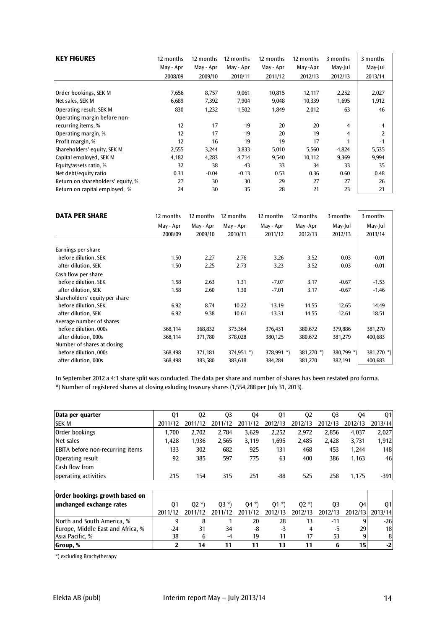| <b>KEY FIGURES</b>                | 12 months | 12 months | 12 months | 12 months | 12 months | 3 months             | 3 months |
|-----------------------------------|-----------|-----------|-----------|-----------|-----------|----------------------|----------|
|                                   | May - Apr | May - Apr | May - Apr | May - Apr | May -Apr  | May-Jul              | May-Jul  |
|                                   | 2008/09   | 2009/10   | 2010/11   | 2011/12   | 2012/13   | 2012/13              | 2013/14  |
|                                   |           |           |           |           |           |                      |          |
| Order bookings, SEK M             | 7,656     | 8,757     | 9,061     | 10,815    | 12,117    | 2,252                | 2,027    |
| Net sales, SEK M                  | 6,689     | 7,392     | 7,904     | 9,048     | 10,339    | 1,695                | 1,912    |
| Operating result, SEK M           | 830       | 1,232     | 1,502     | 1,849     | 2,012     | 63                   | 46       |
| Operating margin before non-      |           |           |           |           |           |                      |          |
| recurring items, %                | 12        | 17        | 19        | 20        | 20        | 4                    | 4        |
| Operating margin, %               | 12        | 17        | 19        | 20        | 19        | 4                    | 2        |
| Profit margin, %                  | 12        | 16        | 19        | 19        | 17        | $\blacktriangleleft$ | $-1$     |
| Shareholders' equity, SEK M       | 2,555     | 3,244     | 3,833     | 5,010     | 5,560     | 4,824                | 5,535    |
| Capital employed, SEK M           | 4,182     | 4,283     | 4,714     | 9,540     | 10,112    | 9,369                | 9,994    |
| Equity/assets ratio, %            | 32        | 38        | 43        | 33        | 34        | 33                   | 35       |
| Net debt/equity ratio             | 0.31      | $-0.04$   | $-0.13$   | 0.53      | 0.36      | 0.60                 | 0.48     |
| Return on shareholders' equity, % | 27        | 30        | 30        | 29        | 27        | 27                   | 26       |
| Return on capital employed, %     | 24        | 30        | 35        | 28        | 21        | 23                   | 21       |

| <b>DATA PER SHARE</b>          | 12 months | 12 months | 12 months     | 12 months    | 12 months     | 3 months   | 3 months      |
|--------------------------------|-----------|-----------|---------------|--------------|---------------|------------|---------------|
|                                | May - Apr | May - Apr | May - Apr     | May - Apr    | May-Apr       | May-Jul    | May-Jul       |
|                                | 2008/09   | 2009/10   | 2010/11       | 2011/12      | 2012/13       | 2012/13    | 2013/14       |
| Earnings per share             |           |           |               |              |               |            |               |
| before dilution, SEK           | 1.50      | 2.27      | 2.76          | 3.26         | 3.52          | 0.03       | $-0.01$       |
| after dilution, SEK            | 1.50      | 2.25      | 2.73          | 3.23         | 3.52          | 0.03       | $-0.01$       |
|                                |           |           |               |              |               |            |               |
| Cash flow per share            |           |           |               |              |               |            |               |
| before dilution, SEK           | 1.58      | 2.63      | 1.31          | $-7.07$      | 3.17          | $-0.67$    | $-1.53$       |
| after dilution, SEK            | 1.58      | 2.60      | 1.30          | $-7.01$      | 3.17          | $-0.67$    | $-1.46$       |
| Shareholders' equity per share |           |           |               |              |               |            |               |
| before dilution, SEK           | 6.92      | 8.74      | 10.22         | 13.19        | 14.55         | 12.65      | 14.49         |
| after dilution, SEK            | 6.92      | 9.38      | 10.61         | 13.31        | 14.55         | 12.61      | 18.51         |
| Average number of shares       |           |           |               |              |               |            |               |
| before dilution, 000s          | 368,114   | 368,832   | 373,364       | 376,431      | 380,672       | 379,886    | 381,270       |
| after dilution, 000s           | 368,114   | 371,780   | 378,028       | 380,125      | 380,672       | 381,279    | 400,683       |
| Number of shares at closing    |           |           |               |              |               |            |               |
| before dilution, 000s          | 368,498   | 371,181   | 374,951 $*$ ) | $378,991$ *) | 381,270 $*$ ) | 380,799 *) | 381,270 $*$ ) |
| after dilution, 000s           | 368,498   | 383,580   | 383,618       | 384,284      | 381,270       | 382,191    | 400,683       |

In September 2012 a 4:1 share split was conducted. The data per share and number of shares has been restated pro forma. \*) Number of registered shares at closing exluding treasury shares (1,554,288 per July 31, 2013).

| Data per quarter                        | 01      | 02      | 03      | 04      | 01      | 02      | 03      | 04      | 01         |
|-----------------------------------------|---------|---------|---------|---------|---------|---------|---------|---------|------------|
| <b>SEK M</b>                            | 2011/12 | 2011/12 | 2011/12 | 2011/12 | 2012/13 | 2012/13 | 2012/13 | 2012/13 | 2013/14    |
| Order bookings                          | 1.700   | 2.702   | 2.784   | 3.629   | 2.252   | 2,972   | 2.856   | 4.037   | 2,027      |
| Net sales                               | 1.428   | 1,936   | 2.565   | 3,119   | 1.695   | 2.485   | 2.428   | 3,731   | 1,912      |
| <b>EBITA</b> before non-recurring items | 133     | 302     | 682     | 925     | 131     | 468     | 453     | 1.244   | <b>148</b> |
| Operating result                        | 92      | 385     | 597     | 775     | 63      | 400     | 386     | 1,163   | 46         |
| Cash flow from                          |         |         |         |         |         |         |         |         |            |
| operating activities                    | 215     | 154     | 315     | 251     | -88     | 525     | 258     | 1.175   | $-391$     |

| Order bookings growth based on    |         |         |         |         |                                 |         |         |                 |       |
|-----------------------------------|---------|---------|---------|---------|---------------------------------|---------|---------|-----------------|-------|
| unchanged exchange rates          | 01      | $(02*)$ | $(03*)$ | $(04*)$ | $(01*)$                         | $(02*)$ | 03      | 041             | 01    |
|                                   | 2011/12 | 2011/12 |         |         | 2011/12 2011/12 2012/13 2012/13 |         | 2012/13 | 2012/13 2013/14 |       |
| North and South America, %        |         |         |         | 20      | 28                              | 13      | $-11$   | 9               | $-26$ |
| Europe, Middle East and Africa, % | $-24$   | 31      | 34      | -8      | -3                              |         | -5      | 29              | 18    |
| Asia Pacific, %                   | 38      |         | $-4$    | 19      | 11                              | 17      | 53      |                 | 8     |
| Group, %                          |         | 14      |         |         | 13                              |         |         | 151             | $-2$  |

\*) excluding Brachytherapy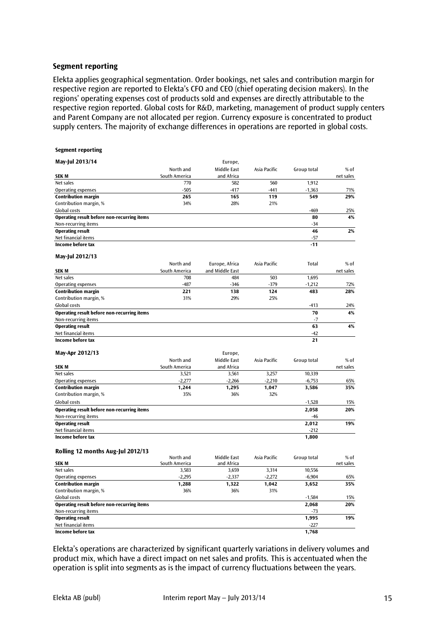#### **Segment reporting**

Elekta applies geographical segmentation. Order bookings, net sales and contribution margin for respective region are reported to Elekta's CFO and CEO (chief operating decision makers). In the regions' operating expenses cost of products sold and expenses are directly attributable to the respective region reported. Global costs for R&D, marketing, management of product supply centers and Parent Company are not allocated per region. Currency exposure is concentrated to product supply centers. The majority of exchange differences in operations are reported in global costs.

| Segment reporting                                  |               |                 |              |             |           |
|----------------------------------------------------|---------------|-----------------|--------------|-------------|-----------|
| May-Jul 2013/14                                    |               | Europe,         |              |             |           |
|                                                    | North and     | Middle East     | Asia Pacific | Group total | $%$ of    |
| <b>SEKM</b>                                        | South America | and Africa      |              |             | net sales |
| Net sales                                          | 770           | 582             | 560          | 1,912       |           |
| <b>Operating expenses</b>                          | $-505$        | $-417$          | $-441$       | $-1,363$    | 71%       |
| <b>Contribution margin</b>                         | 265           | 165             | 119          | 549         | 29%       |
| Contribution margin, %                             | 34%           | 28%             | 21%          |             |           |
| Global costs                                       |               |                 |              | -469        | 25%       |
| Operating result before non-recurring items        |               |                 |              | 80          | 4%        |
| Non-recurring items                                |               |                 |              | $-34$       |           |
| <b>Operating result</b>                            |               |                 |              | 46          | 2%        |
| Net financial items                                |               |                 |              | $-57$       |           |
| Income before tax                                  |               |                 |              | $-11$       |           |
| May-Jul 2012/13                                    |               |                 |              |             |           |
|                                                    | North and     | Europe, Africa  | Asia Pacific | Total       | % of      |
| <b>SEKM</b>                                        | South America | and Middle East |              |             | net sales |
| Net sales                                          | 708           | 484             | 503          | 1,695       |           |
| <b>Operating expenses</b>                          | $-487$        | $-346$          | $-379$       | $-1,212$    | 72%       |
| <b>Contribution margin</b>                         | 221           | 138             | 124          | 483         | 28%       |
| Contribution margin, %                             | 31%           | 29%             | 25%          |             |           |
| Global costs                                       |               |                 |              | $-413$      | 24%       |
| Operating result before non-recurring items        |               |                 |              | 70          | 4%        |
| Non-recurring items                                |               |                 |              | $-7$        |           |
| <b>Operating result</b>                            |               |                 |              | 63          | 4%        |
| Net financial items                                |               |                 |              | $-42$       |           |
| Income before tax                                  |               |                 |              | 21          |           |
| May-Apr 2012/13                                    |               | Europe,         |              |             |           |
|                                                    | North and     | Middle East     | Asia Pacific | Group total | $%$ of    |
| <b>SEKM</b>                                        | South America | and Africa      |              |             | net sales |
| Net sales                                          | 3,521         | 3,561           | 3,257        | 10,339      |           |
| <b>Operating expenses</b>                          | $-2,277$      | $-2,266$        | $-2,210$     | $-6,753$    | 65%       |
| <b>Contribution margin</b>                         | 1,244         | 1,295           | 1,047        | 3,586       | 35%       |
| Contribution margin, %                             | 35%           | 36%             | 32%          |             |           |
| Global costs                                       |               |                 |              | $-1,528$    | 15%       |
| Operating result before non-recurring items        |               |                 |              | 2,058       | 20%       |
| Non-recurring items                                |               |                 |              | $-46$       |           |
| <b>Operating result</b>                            |               |                 |              | 2,012       | 19%       |
| Net financial items                                |               |                 |              | $-212$      |           |
| Income before tax                                  |               |                 |              | 1,800       |           |
|                                                    |               |                 |              |             |           |
| Rolling 12 months Aug-Jul 2012/13                  |               |                 |              |             |           |
|                                                    | North and     | Middle East     | Asia Pacific | Group total | % of      |
| <b>SEK M</b>                                       | South America | and Africa      |              |             | net sales |
| Net sales                                          | 3,583         | 3,659           | 3,314        | 10,556      |           |
| <b>Operating expenses</b>                          | $-2,295$      | $-2,337$        | $-2,272$     | $-6,904$    | 65%       |
| <b>Contribution margin</b>                         | 1,288         | 1,322           | 1,042        | 3,652       | 35%       |
| Contribution margin, %                             | 36%           | 36%             | 31%          |             |           |
| Global costs                                       |               |                 |              | $-1,584$    | 15%       |
| <b>Operating result before non-recurring items</b> |               |                 |              | 2,068       | 20%       |
| Non-recurring items                                |               |                 |              | -73         |           |
| <b>Operating result</b>                            |               |                 |              | 1,995       | 19%       |
| Net financial items                                |               |                 |              | $-227$      |           |
| Income before tax                                  |               |                 |              | 1,768       |           |

Elekta's operations are characterized by significant quarterly variations in delivery volumes and product mix, which have a direct impact on net sales and profits. This is accentuated when the operation is split into segments as is the impact of currency fluctuations between the years.